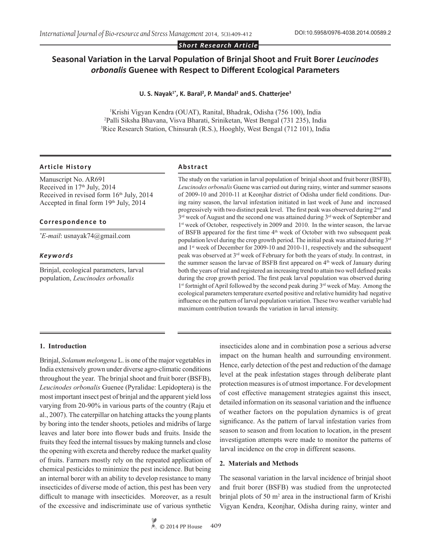*Short Research Article*

# **Seasonal Variation in the Larval Population of Brinjal Shoot and Fruit Borer** *Leucinodes orbonalis* **Guenee with Respect to Different Ecological Parameters**

#### U. S. Nayak<sup>1\*</sup>, K. Baral<sup>2</sup>, P. Mandal<sup>2</sup> and S. Chatterjee<sup>3</sup>

1 Krishi Vigyan Kendra (OUAT), Ranital, Bhadrak, Odisha (756 100), India 2 Palli Siksha Bhavana, Visva Bharati, Sriniketan, West Bengal (731 235), India 3 Rice Research Station, Chinsurah (R.S.), Hooghly, West Bengal (712 101), India

#### **Article History Abstract**

Manuscript No. AR691 Received in  $17<sup>th</sup>$  July,  $2014$ Received in revised form  $16<sup>th</sup>$  July, 2014 Accepted in final form 19th July, 2014

#### **Correspondence to**

*\* E-mail*: usnayak74@gmail.com

#### *Keywords*

Brinjal, ecological parameters, larval population, *Leucinodes orbonalis*

The study on the variation in larval population of brinjal shoot and fruit borer (BSFB), *Leucinodes orbonalis* Guene was carried out during rainy, winter and summer seasons of 2009-10 and 2010-11 at Keonjhar district of Odisha under field conditions. During rainy season, the larval infestation initiated in last week of June and increased progressively with two distinct peak level. The first peak was observed during 2nd and 3rd week of August and the second one was attained during 3rd week of September and 1<sup>st</sup> week of October, respectively in 2009 and 2010. In the winter season, the larvae of BSFB appeared for the first time 4<sup>th</sup> week of October with two subsequent peak population level during the crop growth period. The initial peak was attained during 3rd and 1st week of December for 2009-10 and 2010-11, respectively and the subsequent peak was observed at 3rd week of February for both the years of study. In contrast, in the summer season the larvae of BSFB first appeared on 4<sup>th</sup> week of January during both the years of trial and registered an increasing trend to attain two well defined peaks during the crop growth period. The first peak larval population was observed during 1<sup>st</sup> fortnight of April followed by the second peak during 3<sup>rd</sup> week of May. Among the ecological parameters temperature exerted positive and relative humidity had negative influence on the pattern of larval population variation. These two weather variable had maximum contribution towards the variation in larval intensity.

# **1. Introduction**

Brinjal, *Solanum melongena* L. is one of the major vegetables in India extensively grown under diverse agro-climatic conditions throughout the year. The brinjal shoot and fruit borer (BSFB), *Leucinodes orbonalis* Guenee (Pyralidae: Lepidoptera) is the most important insect pest of brinjal and the apparent yield loss varying from 20-90% in various parts of the country (Raju et al., 2007). The caterpillar on hatching attacks the young plants by boring into the tender shoots, petioles and midribs of large leaves and later bore into flower buds and fruits. Inside the fruits they feed the internal tissues by making tunnels and close the opening with excreta and thereby reduce the market quality of fruits. Farmers mostly rely on the repeated application of chemical pesticides to minimize the pest incidence. But being an internal borer with an ability to develop resistance to many insecticides of diverse mode of action, this pest has been very difficult to manage with insecticides. Moreover, as a result of the excessive and indiscriminate use of various synthetic

insecticides alone and in combination pose a serious adverse impact on the human health and surrounding environment. Hence, early detection of the pest and reduction of the damage level at the peak infestation stages through deliberate plant protection measures is of utmost importance. For development of cost effective management strategies against this insect, detailed information on its seasonal variation and the influence of weather factors on the population dynamics is of great significance. As the pattern of larval infestation varies from season to season and from location to location, in the present investigation attempts were made to monitor the patterns of larval incidence on the crop in different seasons.

#### **2. Materials and Methods**

The seasonal variation in the larval incidence of brinjal shoot and fruit borer (BSFB) was studied from the unprotected brinjal plots of 50 m<sup>2</sup> area in the instructional farm of Krishi Vigyan Kendra, Keonjhar, Odisha during rainy, winter and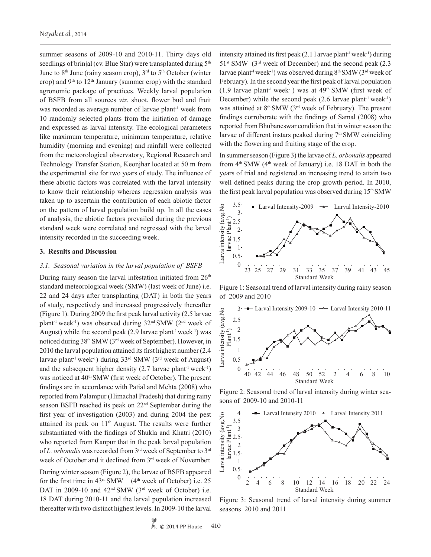summer seasons of 2009-10 and 2010-11. Thirty days old seedlings of brinjal (cv. Blue Star) were transplanted during 5<sup>th</sup> June to 8<sup>th</sup> June (rainy season crop), 3<sup>rd</sup> to 5<sup>th</sup> October (winter crop) and  $9<sup>th</sup>$  to  $12<sup>th</sup>$  January (summer crop) with the standard agronomic package of practices. Weekly larval population of BSFB from all sources *viz*. shoot, flower bud and fruit was recorded as average number of larvae plant<sup>-1</sup> week from 10 randomly selected plants from the initiation of damage and expressed as larval intensity. The ecological parameters like maximum temperature, minimum temperature, relative humidity (morning and evening) and rainfall were collected from the meteorological observatory, Regional Research and Technology Transfer Station, Keonjhar located at 50 m from the experimental site for two years of study. The influence of these abiotic factors was correlated with the larval intensity to know their relationship whereas regression analysis was taken up to ascertain the contribution of each abiotic factor on the pattern of larval population build up. In all the cases of analysis, the abiotic factors prevailed during the previous standard week were correlated and regressed with the larval intensity recorded in the succeeding week.

### **3. Results and Discussion**

#### *3.1. Seasonal variation in the larval population of BSFB*

During rainy season the larval infestation initiated from  $26<sup>th</sup>$ standard meteorological week (SMW) (last week of June) i.e. 22 and 24 days after transplanting (DAT) in both the years of study, respectively and increased progressively thereafter (Figure 1). During 2009 the first peak larval activity (2.5 larvae plant<sup>-1</sup> week<sup>-1</sup>) was observed during  $32<sup>nd</sup> SMW$  ( $2<sup>nd</sup>$  week of August) while the second peak  $(2.9 \text{ larvae plant}^{-1} \text{week}^{-1})$  was noticed during 38th SMW (3rd week of September). However, in 2010 the larval population attained its first highest number (2.4 larvae plant-1 week-1) during 33rd SMW (3rd week of August) and the subsequent higher density  $(2.7 \text{ larvae plant}^{-1} \text{week}^{-1})$ was noticed at 40<sup>th</sup> SMW (first week of October). The present findings are in accordance with Patial and Mehta (2008) who reported from Palampur (Himachal Pradesh) that during rainy season BSFB reached its peak on 22nd September during the first year of investigation (2003) and during 2004 the pest attained its peak on 11th August. The results were further substantiated with the findings of Shukla and Khatri (2010) who reported from Kanpur that in the peak larval population of *L. orbonalis* was recorded from 3rd week of September to 3rd week of October and it declined from 3<sup>rd</sup> week of November.

During winter season (Figure 2), the larvae of BSFB appeared for the first time in  $43<sup>rd</sup>$  SMW (4<sup>th</sup> week of October) i.e. 25 DAT in 2009-10 and 42<sup>nd</sup> SMW (3<sup>rd</sup> week of October) i.e. 18 DAT during 2010-11 and the larval population increased thereafter with two distinct highest levels. In 2009-10 the larval

intensity attained its first peak  $(2.1 1$  arvae plant<sup>-1</sup> week<sup>-1</sup>) during  $51$ <sup>st</sup> SMW ( $3<sup>rd</sup>$  week of December) and the second peak (2.3) larvae plant<sup>-1</sup> week<sup>-1</sup>) was observed during  $8<sup>th</sup> SMW$  ( $3<sup>rd</sup>$  week of February). In the second year the first peak of larval population  $(1.9$  larvae plant<sup>-1</sup> week<sup>-1</sup>) was at 49<sup>th</sup> SMW (first week of December) while the second peak  $(2.6 \text{ larvae plant}^{-1} \text{week}^{-1})$ was attained at 8th SMW (3rd week of February). The present findings corroborate with the findings of Samal (2008) who reported from Bhubaneswar condition that in winter season the larvae of different instars peaked during  $7<sup>th</sup>$  SMW coinciding with the flowering and fruiting stage of the crop.

In summer season (Figure 3) the larvae of *L. orbonalis* appeared from  $4<sup>th</sup>$  SMW ( $4<sup>th</sup>$  week of January) i.e. 18 DAT in both the years of trial and registered an increasing trend to attain two well defined peaks during the crop growth period. In 2010, the first peak larval population was observed during  $15<sup>th</sup> SMW$ 



Figure 1: Seasonal trend of larval intensity during rainy season of 2009 and 2010



Figure 2: Seasonal trend of larval intensity during winter seasons of 2009-10 and 2010-11



Figure 3: Seasonal trend of larval intensity during summer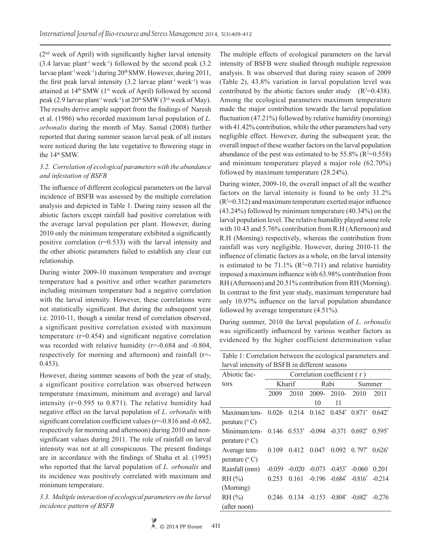(2nd week of April) with significantly higher larval intensity  $(3.4 \text{ larvae plant}^{-1} \text{ week}^{-1})$  followed by the second peak  $(3.2 \text{ km})$ larvae plant<sup>-1</sup> week<sup>-1</sup>) during 20<sup>th</sup> SMW. However, during 2011, the first peak larval intensity  $(3.2 \text{ larvae plant}^{-1} \text{ week}^{-1})$  was attained at 14<sup>th</sup> SMW (1<sup>st</sup> week of April) followed by second peak (2.9 larvae plant<sup>-1</sup> week<sup>-1</sup>) at 20<sup>th</sup> SMW (3<sup>rd</sup> week of May). The results derive ample support from the findings of Naresh et al. (1986) who recorded maximum larval population of *L. orbonalis* during the month of May. Samal (2008) further reported that during summer season larval peak of all instars were noticed during the late vegetative to flowering stage in the 14<sup>th</sup> SMW.

# *3.2. Correlation of ecological parameters with the abundance and infestation of BSFB*

The influence of different ecological parameters on the larval incidence of BSFB was assessed by the multiple correlation analysis and depicted in Table 1. During rainy season all the abiotic factors except rainfall had positive correlation with the average larval population per plant. However, during 2010 only the minimum temperature exhibited a significantly positive correlation (r=0.533) with the larval intensity and the other abiotic parameters failed to establish any clear cut relationship.

During winter 2009-10 maximum temperature and average temperature had a positive and other weather parameters including minimum temperature had a negative correlation with the larval intensity. However, these correlations were not statistically significant. But during the subsequent year i.e. 2010-11, though a similar trend of correlation observed, a significant positive correlation existed with maximum temperature (r=0.454) and significant negative correlation was recorded with relative humidity (r=-0.684 and -0.804, respectively for morning and afternoon) and rainfall (r=- 0.453).

However, during summer seasons of both the year of study, a significant positive correlation was observed between temperature (maximum, minimum and average) and larval intensity (r=0.595 to 0.871). The relative humidity had negative effect on the larval population of *L. orbonalis* with significant correlation coefficient values (r=-0.816 and -0.682, respectively for morning and afternoon) during 2010 and nonsignificant values during 2011. The role of rainfall on larval intensity was not at all conspicuous. The present findings are in accordance with the findings of Shaha et al*.* (1995) who reported that the larval population of *L. orbonalis* and its incidence was positively correlated with maximum and minimum temperature.

*3.3. Multiple interaction of ecological parameters on the larval incidence pattern of BSFB*

The multiple effects of ecological parameters on the larval intensity of BSFB were studied through multiple regression analysis. It was observed that during rainy season of 2009 (Table 2), 43.8% variation in larval population level was contributed by the abiotic factors under study  $(R^2=0.438)$ . Among the ecological parameters maximum temperature made the major contribution towards the larval population fluctuation (47.21%) followed by relative humidity (morning) with 41.42% contribution, while the other parameters had very negligible effect. However, during the subsequent year, the overall impact of these weather factors on the larval population abundance of the pest was estimated to be  $55.8\%$  ( $R^2=0.558$ ) and minimum temperature played a major role (62.70%) followed by maximum temperature (28.24%).

During winter, 2009-10, the overall impact of all the weather factors on the larval intensity is found to be only 31.2%  $(R<sup>2</sup>=0.312)$  and maximum temperature exerted major influence (43.24%) followed by minimum temperature (40.34%) on the larval population level. The relative humidity played some role with 10.43 and 5.76% contribution from R.H (Afternoon) and R.H (Morning) respectively, whereas the contribution from rainfall was very negligible. However, during 2010-11 the influence of climatic factors as a whole, on the larval intensity is estimated to be  $71.1\%$  ( $R^2=0.711$ ) and relative humidity imposed a maximum influence with 63.98% contribution from RH (Afternoon) and 20.51% contribution from RH (Morning). In contrast to the first year study, maximum temperature had only 10.97% influence on the larval population abundance followed by average temperature (4.51%).

During summer, 2010 the larval population of *L. orbonalis* was significantly influenced by various weather factors as evidenced by the higher coefficient determination value

Table 1: Correlation between the ecological parameters and larval intensity of BSFB in different seasons

| Abiotic fac-           | Correlation coefficient (r) |                                     |       |                                         |                                     |           |  |  |  |
|------------------------|-----------------------------|-------------------------------------|-------|-----------------------------------------|-------------------------------------|-----------|--|--|--|
| tors                   |                             | Kharif                              |       | Rabi                                    | Summer                              |           |  |  |  |
|                        | 2009                        | 2010                                | 2009- | 2010-                                   | 2010                                | 2011      |  |  |  |
|                        |                             |                                     | 10    | 11                                      |                                     |           |  |  |  |
| Maximum tem-           | 0.026                       | 0.214                               |       | $0.162$ $0.454$ $0.871$ <sup>*</sup>    |                                     | $0.642^*$ |  |  |  |
| perature $(^{\circ}C)$ |                             |                                     |       |                                         |                                     |           |  |  |  |
| Minimum tem-           |                             | $0.146$ $0.533^*$ $-0.094$ $-0.371$ |       |                                         | $0.692^*$ $0.595^*$                 |           |  |  |  |
| perature $(^{\circ}C)$ |                             |                                     |       |                                         |                                     |           |  |  |  |
| Average tem-           | 0109                        | 0.412                               | 0.047 |                                         | $0.092 \quad 0.797^* \quad 0.626^*$ |           |  |  |  |
| perature $(^{\circ}C)$ |                             |                                     |       |                                         |                                     |           |  |  |  |
| Rainfall (mm)          | $-0.059$                    |                                     |       | $-0.020$ $-0.073$ $-0.453$ <sup>*</sup> | $-0.060$                            | 0.201     |  |  |  |
| $RH$ (%)               | 0.253                       | 0.161                               |       | $-0.196$ $-0.684^*$                     | $-0.816^*$ $-0.214$                 |           |  |  |  |
| (Morning)              |                             |                                     |       |                                         |                                     |           |  |  |  |
| RH (%)                 | 0.246                       | 0.134                               |       | $-0.153$ $-0.804^*$ $-0.682^*$ $-0.276$ |                                     |           |  |  |  |
| (after noon)           |                             |                                     |       |                                         |                                     |           |  |  |  |